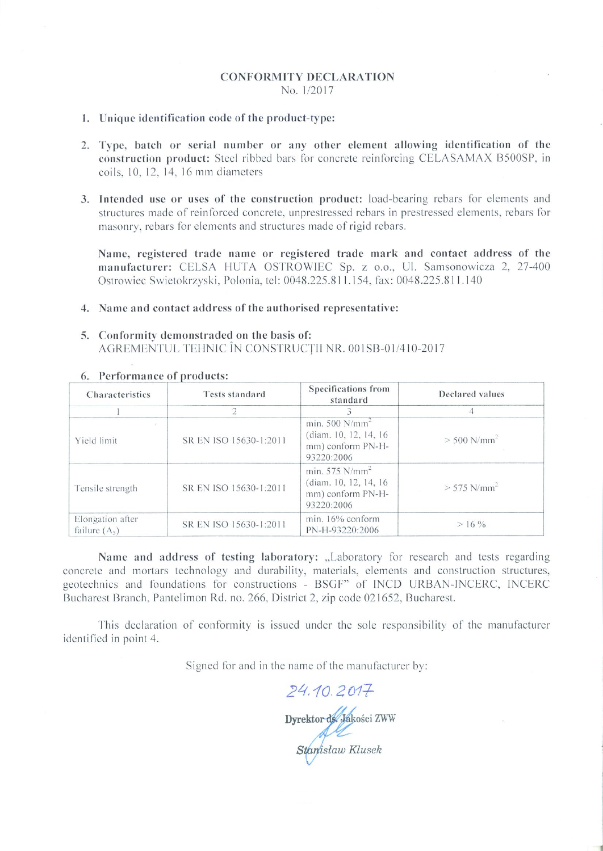# **CONFORMITY DECLARATION** No. 1/2017

## 1. Unique identification code of the product-type:

- 2. Type, batch or serial number or any other element allowing identification of the construction product: Steel ribbed bars for concrete reinforcing CELASAMAX B500SP, in coils, 10, 12, 14, 16 mm diameters
- 3. Intended use or uses of the construction product: load-bearing rebars for elements and structures made of reinforced concrete, unprestressed rebars in prestressed elements, rebars for masonry, rebars for elements and structures made of rigid rebars.

Name, registered trade name or registered trade mark and contact address of the manufacturer: CELSA HUTA OSTROWIEC Sp. z o.o., Ul. Samsonowicza 2, 27-400 Ostrowiec Swietokrzyski, Polonia, tel: 0048.225.811.154, fax: 0048.225.811.140

## 4. Name and contact address of the authorised representative:

# 5. Conformity demonstraded on the basis of: AGREMENTUL TEHNIC ÎN CONSTRUCȚII NR. 001SB-01/410-2017

| Characteristics                     | <b>Tests standard</b>  | Specifications from<br>standard                                                           | Declared values           |
|-------------------------------------|------------------------|-------------------------------------------------------------------------------------------|---------------------------|
|                                     |                        |                                                                                           |                           |
| Yield limit                         | SR EN ISO 15630-1:2011 | min. $500$ N/mm <sup>2</sup><br>(diam. 10, 12, 14, 16)<br>mm) conform PN-H-<br>93220:2006 | $> 500$ N/mm <sup>2</sup> |
| Tensile strength                    | SR EN ISO 15630-1:2011 | min. $575$ N/mm <sup>2</sup><br>(diam. 10, 12, 14, 16)<br>mm) conform PN-H-<br>93220:2006 | $> 575$ N/mm <sup>2</sup> |
| Elongation after<br>failure $(A_5)$ | SR EN ISO 15630-1:2011 | min. 16% conform<br>PN-H-93220:2006                                                       | $> 16\%$                  |

#### 6. Performance of products:

Name and address of testing laboratory: "Laboratory for research and tests regarding concrete and mortars technology and durability, materials, elements and construction structures, geotechnics and foundations for constructions - BSGF" of INCD URBAN-INCERC, INCERC Bucharest Branch, Pantelimon Rd. no. 266, District 2, zip code 021652, Bucharest.

This declaration of conformity is issued under the sole responsibility of the manufacturer identified in point 4.

Signed for and in the name of the manufacturer by:

24.10.2017 -<br>Dyrektor de Jakości ZWW<br>Stanisław Klusek